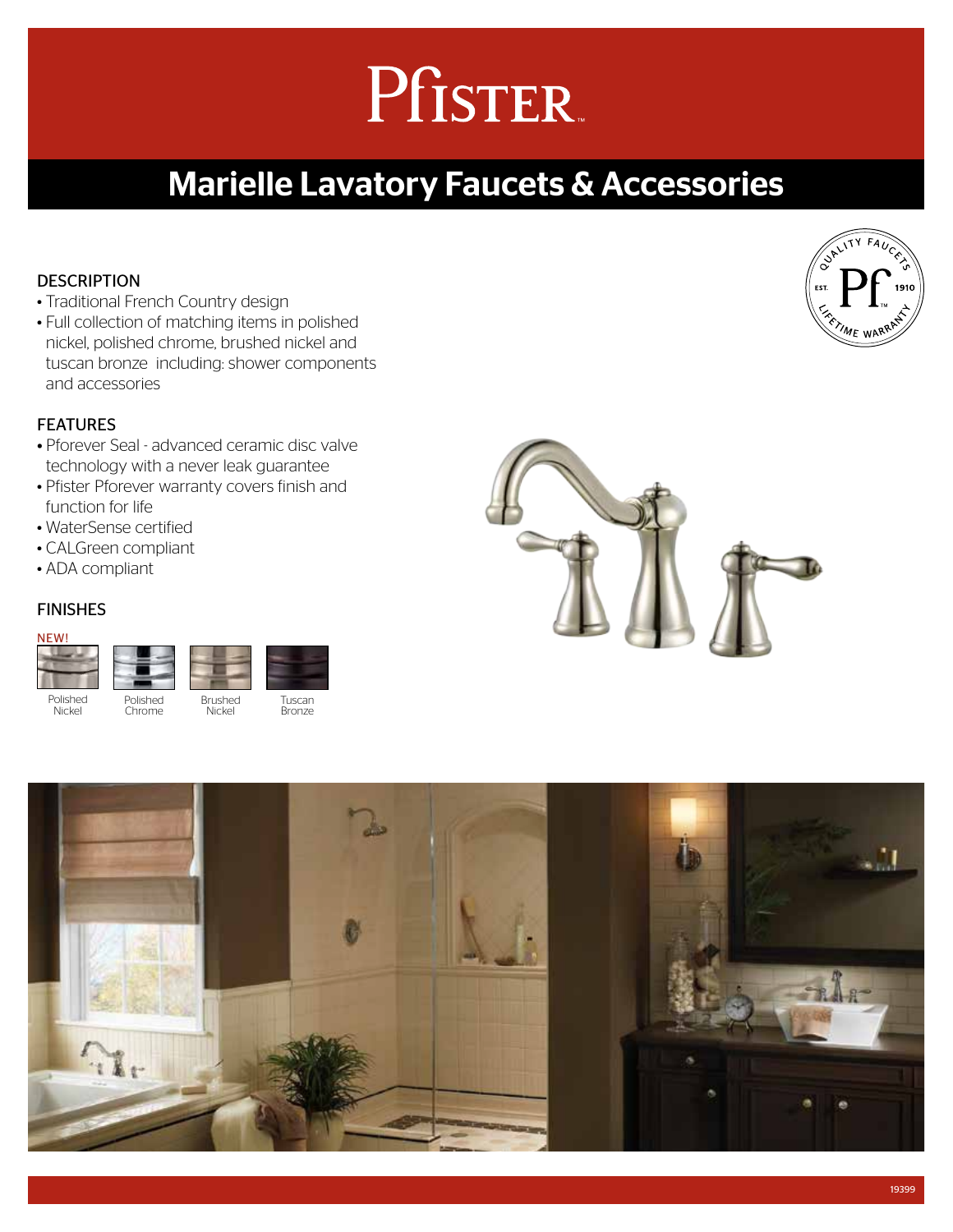# Pfister.

### Marielle Lavatory Faucets & Accessories

#### **DESCRIPTION**

- Traditional French Country design
- Full collection of matching items in polished nickel, polished chrome, brushed nickel and tuscan bronze including: shower components and accessories

#### **FFATURES**

- Pforever Seal advanced ceramic disc valve technology with a never leak guarantee
- Pfister Pforever warranty covers finish and function for life
- WaterSense certified
- CALGreen compliant
- ADA compliant

#### FINISHES